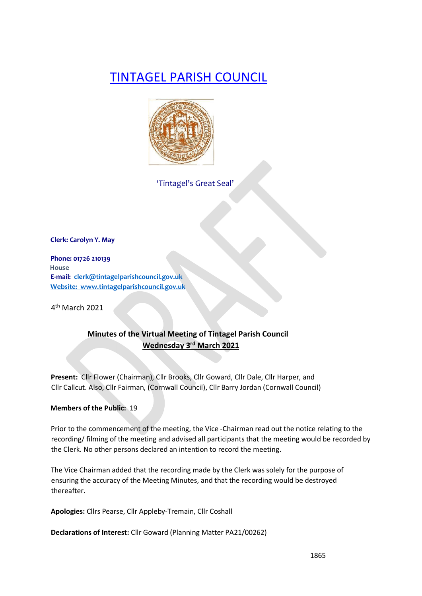# TINTAGEL PARISH COUNCIL



'Tintagel's Great Seal'

**Clerk: Carolyn Y. May** 

**Phone: 01726 210139 House E-mail: clerk@tintagelparishcouncil.gov.uk Website: www.tintagelparishcouncil.gov.uk** 

4th March 2021

# **Minutes of the Virtual Meeting of Tintagel Parish Council Wednesday 3rd March 2021**

**Present:** Cllr Flower (Chairman), Cllr Brooks, Cllr Goward, Cllr Dale, Cllr Harper, and Cllr Callcut. Also, Cllr Fairman, (Cornwall Council), Cllr Barry Jordan (Cornwall Council)

# **Members of the Public:** 19

Prior to the commencement of the meeting, the Vice -Chairman read out the notice relating to the recording/ filming of the meeting and advised all participants that the meeting would be recorded by the Clerk. No other persons declared an intention to record the meeting.

The Vice Chairman added that the recording made by the Clerk was solely for the purpose of ensuring the accuracy of the Meeting Minutes, and that the recording would be destroyed thereafter.

**Apologies:** Cllrs Pearse, Cllr Appleby-Tremain, Cllr Coshall

**Declarations of Interest:** Cllr Goward (Planning Matter PA21/00262)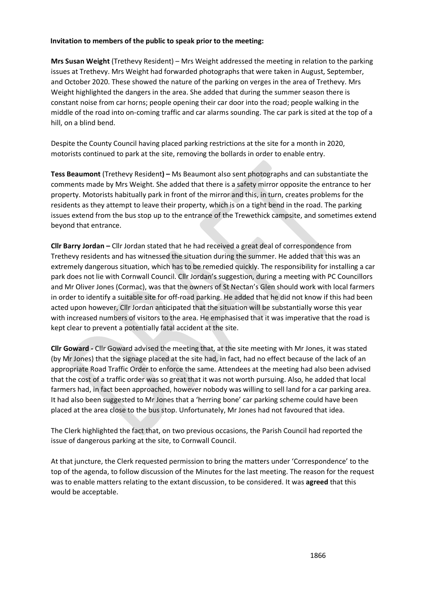#### **Invitation to members of the public to speak prior to the meeting:**

**Mrs Susan Weight** (Trethevy Resident) – Mrs Weight addressed the meeting in relation to the parking issues at Trethevy. Mrs Weight had forwarded photographs that were taken in August, September, and October 2020. These showed the nature of the parking on verges in the area of Trethevy. Mrs Weight highlighted the dangers in the area. She added that during the summer season there is constant noise from car horns; people opening their car door into the road; people walking in the middle of the road into on-coming traffic and car alarms sounding. The car park is sited at the top of a hill, on a blind bend.

Despite the County Council having placed parking restrictions at the site for a month in 2020, motorists continued to park at the site, removing the bollards in order to enable entry.

**Tess Beaumont** (Trethevy Resident**) –** Ms Beaumont also sent photographs and can substantiate the comments made by Mrs Weight. She added that there is a safety mirror opposite the entrance to her property. Motorists habitually park in front of the mirror and this, in turn, creates problems for the residents as they attempt to leave their property, which is on a tight bend in the road. The parking issues extend from the bus stop up to the entrance of the Trewethick campsite, and sometimes extend beyond that entrance.

**Cllr Barry Jordan –** Cllr Jordan stated that he had received a great deal of correspondence from Trethevy residents and has witnessed the situation during the summer. He added that this was an extremely dangerous situation, which has to be remedied quickly. The responsibility for installing a car park does not lie with Cornwall Council. Cllr Jordan's suggestion, during a meeting with PC Councillors and Mr Oliver Jones (Cormac), was that the owners of St Nectan's Glen should work with local farmers in order to identify a suitable site for off-road parking. He added that he did not know if this had been acted upon however, Cllr Jordan anticipated that the situation will be substantially worse this year with increased numbers of visitors to the area. He emphasised that it was imperative that the road is kept clear to prevent a potentially fatal accident at the site.

**Cllr Goward -** Cllr Goward advised the meeting that, at the site meeting with Mr Jones, it was stated (by Mr Jones) that the signage placed at the site had, in fact, had no effect because of the lack of an appropriate Road Traffic Order to enforce the same. Attendees at the meeting had also been advised that the cost of a traffic order was so great that it was not worth pursuing. Also, he added that local farmers had, in fact been approached, however nobody was willing to sell land for a car parking area. It had also been suggested to Mr Jones that a 'herring bone' car parking scheme could have been placed at the area close to the bus stop. Unfortunately, Mr Jones had not favoured that idea.

The Clerk highlighted the fact that, on two previous occasions, the Parish Council had reported the issue of dangerous parking at the site, to Cornwall Council.

At that juncture, the Clerk requested permission to bring the matters under 'Correspondence' to the top of the agenda, to follow discussion of the Minutes for the last meeting. The reason for the request was to enable matters relating to the extant discussion, to be considered. It was **agreed** that this would be acceptable.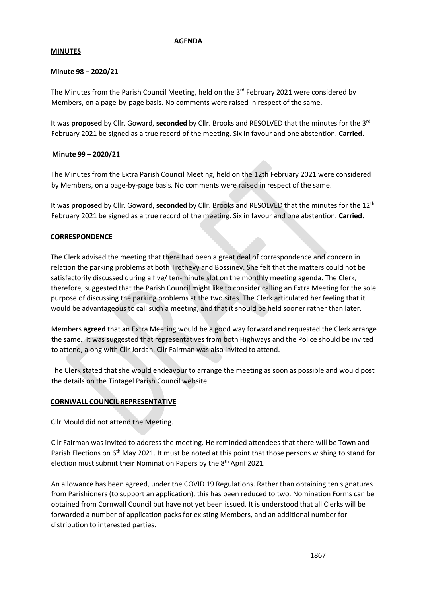#### **AGENDA**

#### **MINUTES**

#### **Minute 98 – 2020/21**

The Minutes from the Parish Council Meeting, held on the  $3<sup>rd</sup>$  February 2021 were considered by Members, on a page-by-page basis. No comments were raised in respect of the same.

It was **proposed** by Cllr. Goward, **seconded** by Cllr. Brooks and RESOLVED that the minutes for the 3rd February 2021 be signed as a true record of the meeting. Six in favour and one abstention. **Carried**.

### **Minute 99 – 2020/21**

The Minutes from the Extra Parish Council Meeting, held on the 12th February 2021 were considered by Members, on a page-by-page basis. No comments were raised in respect of the same.

It was **proposed** by Cllr. Goward, **seconded** by Cllr. Brooks and RESOLVED that the minutes for the 12th February 2021 be signed as a true record of the meeting. Six in favour and one abstention. **Carried**.

### **CORRESPONDENCE**

The Clerk advised the meeting that there had been a great deal of correspondence and concern in relation the parking problems at both Trethevy and Bossiney. She felt that the matters could not be satisfactorily discussed during a five/ ten-minute slot on the monthly meeting agenda. The Clerk, therefore, suggested that the Parish Council might like to consider calling an Extra Meeting for the sole purpose of discussing the parking problems at the two sites. The Clerk articulated her feeling that it would be advantageous to call such a meeting, and that it should be held sooner rather than later.

Members **agreed** that an Extra Meeting would be a good way forward and requested the Clerk arrange the same. It was suggested that representatives from both Highways and the Police should be invited to attend, along with Cllr Jordan. Cllr Fairman was also invited to attend.

The Clerk stated that she would endeavour to arrange the meeting as soon as possible and would post the details on the Tintagel Parish Council website.

#### **CORNWALL COUNCIL REPRESENTATIVE**

Cllr Mould did not attend the Meeting.

Cllr Fairman was invited to address the meeting. He reminded attendees that there will be Town and Parish Elections on 6<sup>th</sup> May 2021. It must be noted at this point that those persons wishing to stand for election must submit their Nomination Papers by the 8<sup>th</sup> April 2021.

An allowance has been agreed, under the COVID 19 Regulations. Rather than obtaining ten signatures from Parishioners (to support an application), this has been reduced to two. Nomination Forms can be obtained from Cornwall Council but have not yet been issued. It is understood that all Clerks will be forwarded a number of application packs for existing Members, and an additional number for distribution to interested parties.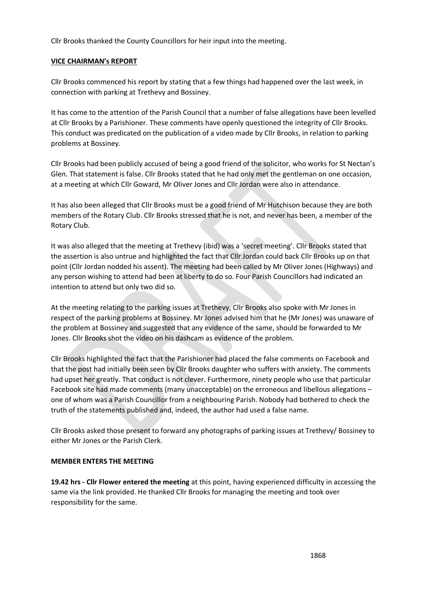Cllr Brooks thanked the County Councillors for heir input into the meeting.

### **VICE CHAIRMAN's REPORT**

Cllr Brooks commenced his report by stating that a few things had happened over the last week, in connection with parking at Trethevy and Bossiney.

It has come to the attention of the Parish Council that a number of false allegations have been levelled at Cllr Brooks by a Parishioner. These comments have openly questioned the integrity of Cllr Brooks. This conduct was predicated on the publication of a video made by Cllr Brooks, in relation to parking problems at Bossiney.

Cllr Brooks had been publicly accused of being a good friend of the solicitor, who works for St Nectan's Glen. That statement is false. Cllr Brooks stated that he had only met the gentleman on one occasion, at a meeting at which Cllr Goward, Mr Oliver Jones and Cllr Jordan were also in attendance.

It has also been alleged that Cllr Brooks must be a good friend of Mr Hutchison because they are both members of the Rotary Club. Cllr Brooks stressed that he is not, and never has been, a member of the Rotary Club.

It was also alleged that the meeting at Trethevy (ibid) was a 'secret meeting'. Cllr Brooks stated that the assertion is also untrue and highlighted the fact that Cllr Jordan could back Cllr Brooks up on that point (Cllr Jordan nodded his assent). The meeting had been called by Mr Oliver Jones (Highways) and any person wishing to attend had been at liberty to do so. Four Parish Councillors had indicated an intention to attend but only two did so.

At the meeting relating to the parking issues at Trethevy, Cllr Brooks also spoke with Mr Jones in respect of the parking problems at Bossiney. Mr Jones advised him that he (Mr Jones) was unaware of the problem at Bossiney and suggested that any evidence of the same, should be forwarded to Mr Jones. Cllr Brooks shot the video on his dashcam as evidence of the problem.

Cllr Brooks highlighted the fact that the Parishioner had placed the false comments on Facebook and that the post had initially been seen by Cllr Brooks daughter who suffers with anxiety. The comments had upset her greatly. That conduct is not clever. Furthermore, ninety people who use that particular Facebook site had made comments (many unacceptable) on the erroneous and libellous allegations – one of whom was a Parish Councillor from a neighbouring Parish. Nobody had bothered to check the truth of the statements published and, indeed, the author had used a false name.

Cllr Brooks asked those present to forward any photographs of parking issues at Trethevy/ Bossiney to either Mr Jones or the Parish Clerk.

# **MEMBER ENTERS THE MEETING**

**19.42 hrs - Cllr Flower entered the meeting** at this point, having experienced difficulty in accessing the same via the link provided. He thanked Cllr Brooks for managing the meeting and took over responsibility for the same.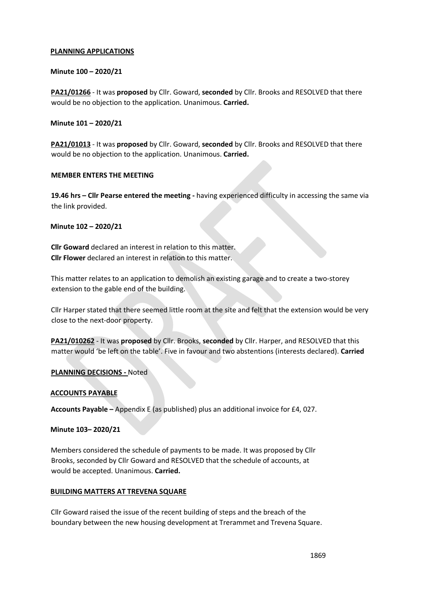#### **PLANNING APPLICATIONS**

### **Minute 100 – 2020/21**

**PA21/01266** - It was **proposed** by Cllr. Goward, **seconded** by Cllr. Brooks and RESOLVED that there would be no objection to the application. Unanimous. **Carried.**

### **Minute 101 – 2020/21**

**PA21/01013** - It was **proposed** by Cllr. Goward, **seconded** by Cllr. Brooks and RESOLVED that there would be no objection to the application. Unanimous. **Carried.**

#### **MEMBER ENTERS THE MEETING**

**19.46 hrs – Cllr Pearse entered the meeting -** having experienced difficulty in accessing the same via the link provided.

### **Minute 102 – 2020/21**

**Cllr Goward** declared an interest in relation to this matter. **Cllr Flower** declared an interest in relation to this matter.

This matter relates to an application to demolish an existing garage and to create a two-storey extension to the gable end of the building.

Cllr Harper stated that there seemed little room at the site and felt that the extension would be very close to the next-door property.

**PA21/010262** - It was **proposed** by Cllr. Brooks, **seconded** by Cllr. Harper, and RESOLVED that this matter would 'be left on the table'. Five in favour and two abstentions (interests declared). **Carried**

# **PLANNING DECISIONS -** Noted

# **ACCOUNTS PAYABLE**

**Accounts Payable –** Appendix E (as published) plus an additional invoice for £4, 027.

#### **Minute 103– 2020/21**

Members considered the schedule of payments to be made. It was proposed by Cllr Brooks, seconded by Cllr Goward and RESOLVED that the schedule of accounts, at would be accepted. Unanimous. **Carried.** 

#### **BUILDING MATTERS AT TREVENA SQUARE**

Cllr Goward raised the issue of the recent building of steps and the breach of the boundary between the new housing development at Trerammet and Trevena Square.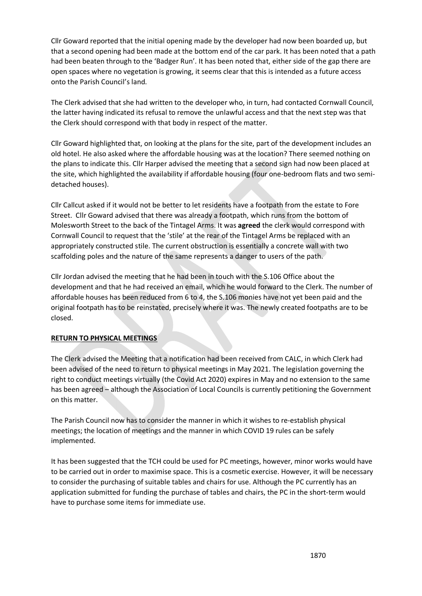Cllr Goward reported that the initial opening made by the developer had now been boarded up, but that a second opening had been made at the bottom end of the car park. It has been noted that a path had been beaten through to the 'Badger Run'. It has been noted that, either side of the gap there are open spaces where no vegetation is growing, it seems clear that this is intended as a future access onto the Parish Council's land.

The Clerk advised that she had written to the developer who, in turn, had contacted Cornwall Council, the latter having indicated its refusal to remove the unlawful access and that the next step was that the Clerk should correspond with that body in respect of the matter.

Cllr Goward highlighted that, on looking at the plans for the site, part of the development includes an old hotel. He also asked where the affordable housing was at the location? There seemed nothing on the plans to indicate this. Cllr Harper advised the meeting that a second sign had now been placed at the site, which highlighted the availability if affordable housing (four one-bedroom flats and two semidetached houses).

Cllr Callcut asked if it would not be better to let residents have a footpath from the estate to Fore Street. Cllr Goward advised that there was already a footpath, which runs from the bottom of Molesworth Street to the back of the Tintagel Arms. It was **agreed** the clerk would correspond with Cornwall Council to request that the 'stile' at the rear of the Tintagel Arms be replaced with an appropriately constructed stile. The current obstruction is essentially a concrete wall with two scaffolding poles and the nature of the same represents a danger to users of the path.

Cllr Jordan advised the meeting that he had been in touch with the S.106 Office about the development and that he had received an email, which he would forward to the Clerk. The number of affordable houses has been reduced from 6 to 4, the S.106 monies have not yet been paid and the original footpath has to be reinstated, precisely where it was. The newly created footpaths are to be closed.

# **RETURN TO PHYSICAL MEETINGS**

The Clerk advised the Meeting that a notification had been received from CALC, in which Clerk had been advised of the need to return to physical meetings in May 2021. The legislation governing the right to conduct meetings virtually (the Covid Act 2020) expires in May and no extension to the same has been agreed – although the Association of Local Councils is currently petitioning the Government on this matter.

The Parish Council now has to consider the manner in which it wishes to re-establish physical meetings; the location of meetings and the manner in which COVID 19 rules can be safely implemented.

It has been suggested that the TCH could be used for PC meetings, however, minor works would have to be carried out in order to maximise space. This is a cosmetic exercise. However, it will be necessary to consider the purchasing of suitable tables and chairs for use. Although the PC currently has an application submitted for funding the purchase of tables and chairs, the PC in the short-term would have to purchase some items for immediate use.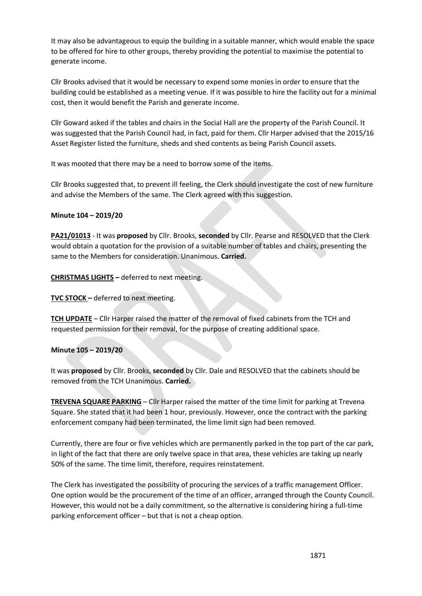It may also be advantageous to equip the building in a suitable manner, which would enable the space to be offered for hire to other groups, thereby providing the potential to maximise the potential to generate income.

Cllr Brooks advised that it would be necessary to expend some monies in order to ensure that the building could be established as a meeting venue. If it was possible to hire the facility out for a minimal cost, then it would benefit the Parish and generate income.

Cllr Goward asked if the tables and chairs in the Social Hall are the property of the Parish Council. It was suggested that the Parish Council had, in fact, paid for them. Cllr Harper advised that the 2015/16 Asset Register listed the furniture, sheds and shed contents as being Parish Council assets.

It was mooted that there may be a need to borrow some of the items.

Cllr Brooks suggested that, to prevent ill feeling, the Clerk should investigate the cost of new furniture and advise the Members of the same. The Clerk agreed with this suggestion.

# **Minute 104 – 2019/20**

**PA21/01013** - It was **proposed** by Cllr. Brooks, **seconded** by Cllr. Pearse and RESOLVED that the Clerk would obtain a quotation for the provision of a suitable number of tables and chairs, presenting the same to the Members for consideration. Unanimous. **Carried.**

**CHRISTMAS LIGHTS –** deferred to next meeting.

**TVC STOCK –** deferred to next meeting.

**TCH UPDATE** – Cllr Harper raised the matter of the removal of fixed cabinets from the TCH and requested permission for their removal, for the purpose of creating additional space.

# **Minute 105 – 2019/20**

It was **proposed** by Cllr. Brooks, **seconded** by Cllr. Dale and RESOLVED that the cabinets should be removed from the TCH Unanimous. **Carried.**

**TREVENA SQUARE PARKING** – Cllr Harper raised the matter of the time limit for parking at Trevena Square. She stated that it had been 1 hour, previously. However, once the contract with the parking enforcement company had been terminated, the lime limit sign had been removed.

Currently, there are four or five vehicles which are permanently parked in the top part of the car park, in light of the fact that there are only twelve space in that area, these vehicles are taking up nearly 50% of the same. The time limit, therefore, requires reinstatement.

The Clerk has investigated the possibility of procuring the services of a traffic management Officer. One option would be the procurement of the time of an officer, arranged through the County Council. However, this would not be a daily commitment, so the alternative is considering hiring a full-time parking enforcement officer – but that is not a cheap option.